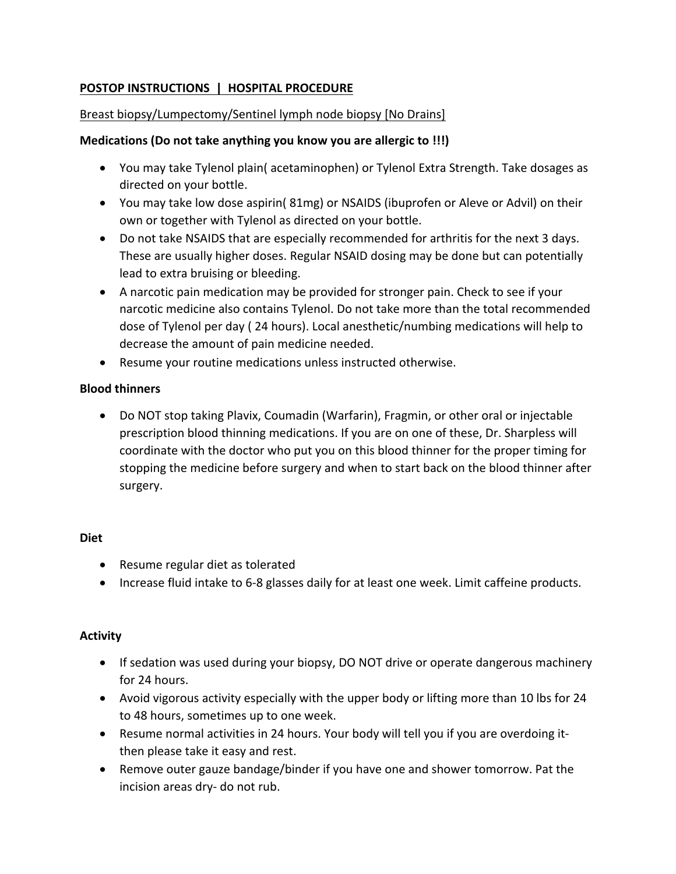# **POSTOP INSTRUCTIONS | HOSPITAL PROCEDURE**

## Breast biopsy/Lumpectomy/Sentinel lymph node biopsy [No Drains]

## **Medications** (Do not take anything you know you are allergic to !!!)

- You may take Tylenol plain( acetaminophen) or Tylenol Extra Strength. Take dosages as directed on your bottle.
- You may take low dose aspirin(  $81mg$ ) or NSAIDS (ibuprofen or Aleve or Advil) on their own or together with Tylenol as directed on your bottle.
- Do not take NSAIDS that are especially recommended for arthritis for the next 3 days. These are usually higher doses. Regular NSAID dosing may be done but can potentially lead to extra bruising or bleeding.
- A narcotic pain medication may be provided for stronger pain. Check to see if your narcotic medicine also contains Tylenol. Do not take more than the total recommended dose of Tylenol per day (24 hours). Local anesthetic/numbing medications will help to decrease the amount of pain medicine needed.
- Resume your routine medications unless instructed otherwise.

## **Blood thinners**

• Do NOT stop taking Plavix, Coumadin (Warfarin), Fragmin, or other oral or injectable prescription blood thinning medications. If you are on one of these, Dr. Sharpless will coordinate with the doctor who put you on this blood thinner for the proper timing for stopping the medicine before surgery and when to start back on the blood thinner after surgery.

#### **Diet**

- Resume regular diet as tolerated
- Increase fluid intake to 6-8 glasses daily for at least one week. Limit caffeine products.

## **Activity**

- If sedation was used during your biopsy, DO NOT drive or operate dangerous machinery for 24 hours.
- Avoid vigorous activity especially with the upper body or lifting more than 10 lbs for 24 to 48 hours, sometimes up to one week.
- Resume normal activities in 24 hours. Your body will tell you if you are overdoing itthen please take it easy and rest.
- Remove outer gauze bandage/binder if you have one and shower tomorrow. Pat the incision areas dry- do not rub.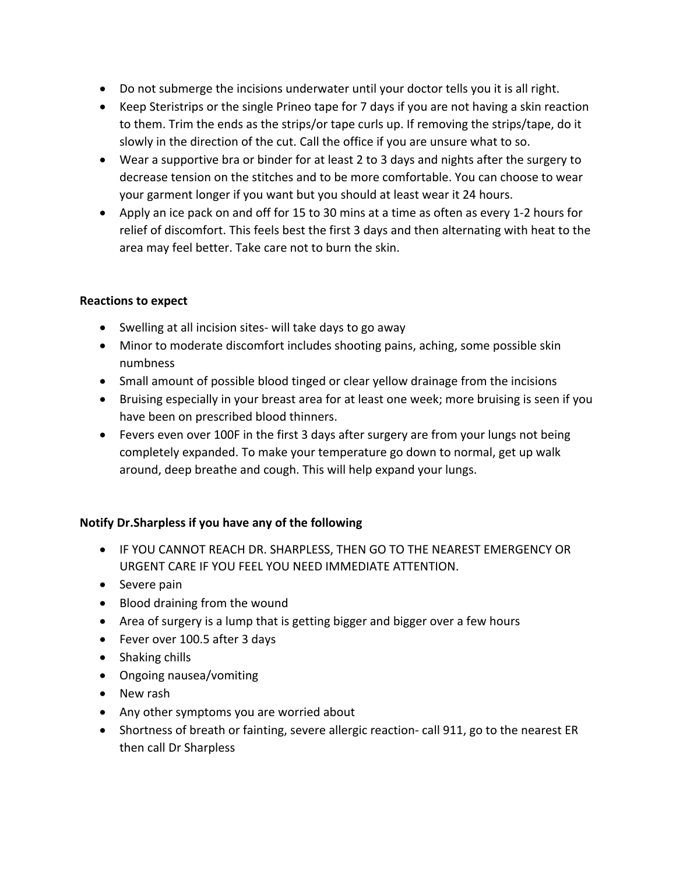- Do not submerge the incisions underwater until your doctor tells you it is all right.
- Keep Steristrips or the single Prineo tape for 7 days if you are not having a skin reaction to them. Trim the ends as the strips/or tape curls up. If removing the strips/tape, do it slowly in the direction of the cut. Call the office if you are unsure what to so.
- Wear a supportive bra or binder for at least 2 to 3 days and nights after the surgery to decrease tension on the stitches and to be more comfortable. You can choose to wear your garment longer if you want but you should at least wear it 24 hours.
- Apply an ice pack on and off for 15 to 30 mins at a time as often as every 1-2 hours for relief of discomfort. This feels best the first 3 days and then alternating with heat to the area may feel better. Take care not to burn the skin.

## **Reactions to expect**

- Swelling at all incision sites- will take days to go away
- Minor to moderate discomfort includes shooting pains, aching, some possible skin numbness
- Small amount of possible blood tinged or clear yellow drainage from the incisions
- Bruising especially in your breast area for at least one week; more bruising is seen if you have been on prescribed blood thinners.
- Fevers even over 100F in the first 3 days after surgery are from your lungs not being completely expanded. To make your temperature go down to normal, get up walk around, deep breathe and cough. This will help expand your lungs.

## Notify Dr.Sharpless if you have any of the following

- IF YOU CANNOT REACH DR. SHARPLESS, THEN GO TO THE NEAREST EMERGENCY OR URGENT CARE IF YOU FEEL YOU NEED IMMEDIATE ATTENTION.
- $\bullet$  Severe pain
- Blood draining from the wound
- Area of surgery is a lump that is getting bigger and bigger over a few hours
- Fever over 100.5 after 3 days
- $\bullet$  Shaking chills
- Ongoing nausea/vomiting
- New rash
- Any other symptoms you are worried about
- Shortness of breath or fainting, severe allergic reaction- call 911, go to the nearest ER then call Dr Sharpless